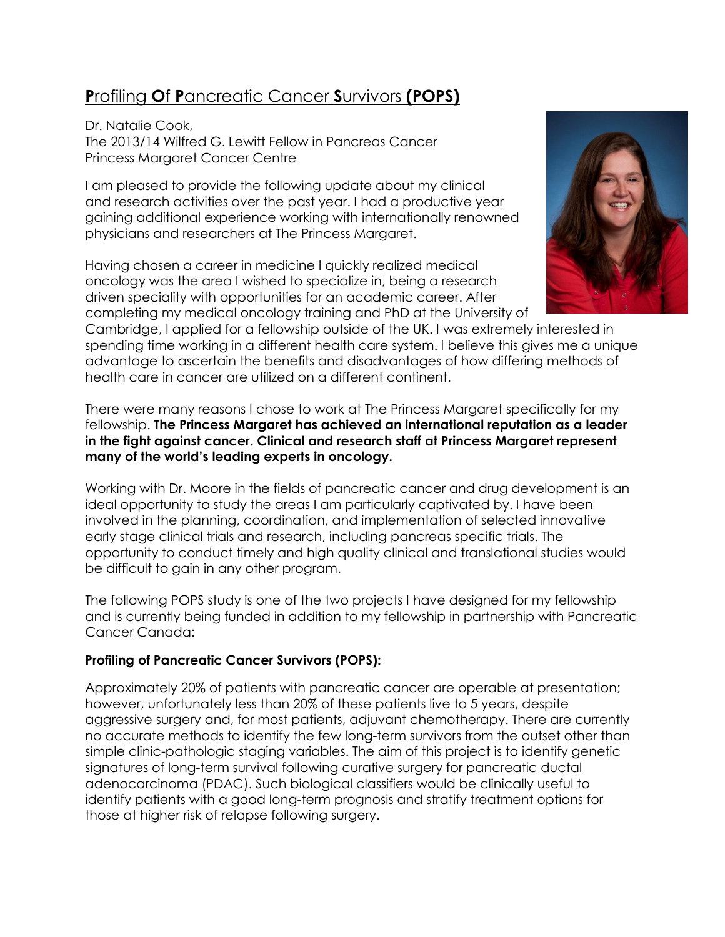# Profiling Of Pancreatic Cancer Survivors (POPS)

Dr. Natalie Cook, The 2013/14 Wilfred G. Lewitt Fellow in Pancreas Cancer Princess Margaret Cancer Centre

I am pleased to provide the following update about my clinical and research activities over the past year. I had a productive year gaining additional experience working with internationally renowned physicians and researchers at The Princess Margaret.

Having chosen a career in medicine I quickly realized medical oncology was the area I wished to specialize in, being a research driven speciality with opportunities for an academic career. After completing my medical oncology training and PhD at the University of

Cambridge, I applied for a fellowship outside of the UK. I was extremely interested in spending time working in a different health care system. I believe this gives me a unique advantage to ascertain the benefits and disadvantages of how differing methods of health care in cancer are utilized on a different continent.

There were many reasons I chose to work at The Princess Margaret specifically for my fellowship. The Princess Margaret has achieved an international reputation as a leader in the fight against cancer. Clinical and research staff at Princess Margaret represent many of the world's leading experts in oncology.

Working with Dr. Moore in the fields of pancreatic cancer and drug development is an ideal opportunity to study the areas I am particularly captivated by. I have been involved in the planning, coordination, and implementation of selected innovative early stage clinical trials and research, including pancreas specific trials. The opportunity to conduct timely and high quality clinical and translational studies would be difficult to gain in any other program.

The following POPS study is one of the two projects I have designed for my fellowship and is currently being funded in addition to my fellowship in partnership with Pancreatic Cancer Canada:

### Profiling of Pancreatic Cancer Survivors (POPS):

Approximately 20% of patients with pancreatic cancer are operable at presentation; however, unfortunately less than 20% of these patients live to 5 years, despite aggressive surgery and, for most patients, adjuvant chemotherapy. There are currently no accurate methods to identify the few long-term survivors from the outset other than simple clinic-pathologic staging variables. The aim of this project is to identify genetic signatures of long-term survival following curative surgery for pancreatic ductal adenocarcinoma (PDAC). Such biological classifiers would be clinically useful to identify patients with a good long-term prognosis and stratify treatment options for those at higher risk of relapse following surgery.